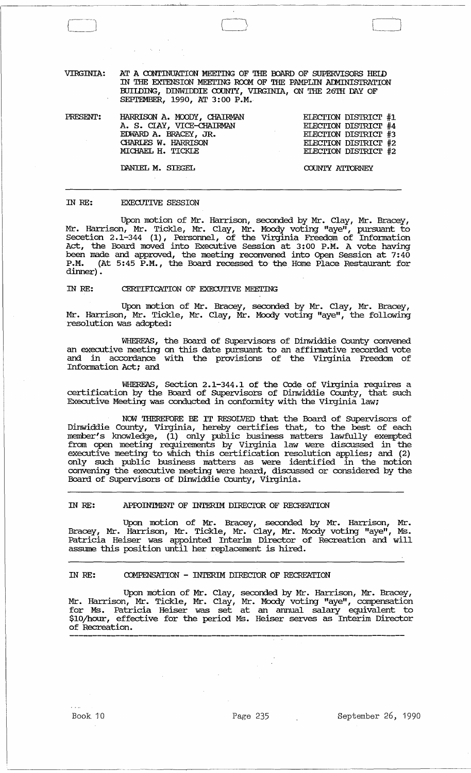VIRGINIA: AT A CONTINUATION MEETING OF THE BOARD OF SUPERVISORS HEID IN THE EXTENSION MEETING ROOM OF THE PAMPLIN ADMINISTRATION BUIIDING, DINWIDDIE COUNTY, VIRGINIA, ON THE 26TH DAY OF SEPTEMBER, 1990, AT 3:00 P.M.

PRESENT: HARRISON A. MOODY, OIAIRMAN A. S. CIAY, VICE-cHAIRMAN ErWARD A. BRACEY, JR. CHARIES W. HARRISON MICHAEL H. TICKLE

ELECTION DISTRICT #1 ELECTION DISTRICT #4 ELECTION DISTRICT #3 ELECTION DISTRICT  $#2$ ELECTION DISTRICT #2

DANIEL M. SIEGEL

 $\Box$ 

COUNTY ATTORNEY

#### IN RE: EXECUTIVE SESSION

Upon motion of Mr. Harrison, seconded by Mr. Clay, Mr. Bracey, Mr. Harrison, Mr. Tickle, Mr. Clay, Mr. Moody voting "aye", pursuant to Secetion 2.1-344 (1), Personnel, of the Virginia Freedqm of Infonnation Act, the Board moved into Executive Session at 3:00 P.M. A vote having been made and approved, the meeting reconvened into Open Session at 7: 40 P.M. (At 5:45 P.M., the Board recessed to the Home Place Restaurant for dinner).

## IN RE: CERITIFICATION OF EXECUTIVE MEETING

Upon motion of Mr. Bracey, seconded by Mr. Clay, Mr. Bracey, Mr. Harrison, Mr. Tickle, Mr. Clay, Mr. Moody voting "aye", the following resolution was adopted:

WHEREAS, the Board of SUpervisors of Dinwiddie County convened an executive meeting on this date pursuant to an affinnative recorded vote and in accordance with the provisions of the Virginia Freedom of Information Act; and

WHEREAS, Section 2.1-344.1 of the Code of Virginia requires a certification by the Board of SUpervisors of Dinwiddie County, that such Executive Meeting was conducted in conformity with the Virginia law;

NOW THEREFORE BE IT RESOLVED that the Board of SUpervisors of Dinwiddie County, Virginia, hereby certifies that, to the best of each member's knowledge, (1) only public business matters lawfully exerrpted from open meeting requirements by Virginia law were discussed in the executive meeting to which this certification resolution applies; and (2) only such public business matters as were identified in the motion convening the executive meeting were heard, discussed or considered by the Board of SUpervisors of Dinwiddie County, Virginia.

# IN RE: APFOINIMENT OF INTERIM DIRECIOR OF RECREATION

Upon motion of Mr. Bracey, seconded by Mr. Harrison, Mr. Bracey, Mr. Harrison, Mr. Tickle, Mr. Clay, Mr. Moody voting "aye", Ms. Patricia Heiser was appointed Interim Director of Recreation and will assume this position until her replacement is hired.

# IN RE: OOMPENSATION - INTERIM DIRECIOR OF RECREATION

Upon motion of Mr. Clay, seconded by Mr. Harrison, Mr. Bracey, Mr. Harrison, Mr. Tickle, Mr. Clay, Mr. Moody voting "aye", compensation for Ms. Patricia Heiser was set at an annual salary equivalent to \$10/hour, effective for the period Ms. Heiser serves as Interim Director of Recreation.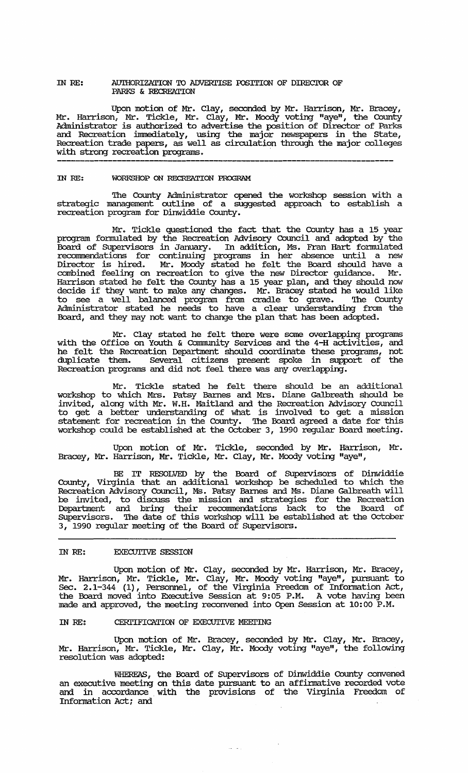### IN RE: AUTHORIZATION TO ADVERTISE POSITION OF DIRECTOR OF PARKS & RECREATION

Upon motion of Mr. Clay, seconded by Mr. Harrison, Mr. Bracey, Mr. Harrison, Mr. Tickle, Mr. Clay, Mr. Moody voting "aye", the County Administrator is authorized to advertise the position of Director of Parks and Recreation immediately, using the major newspapers in the State, Recreation trade papers, as well as circulation through the major colleges with strong recreation programs.

# IN RE: WORKSHOP ON RECREATION PROGRAM

'!he County Administrator opened the workshop session with a strategic management outline of a suggested approach to establish a recreation program for Dinwiddie County.

Mr. Tickle questioned the fact that the County has a 15 year program fonnulated by the Recreation Advisory Council and adopted by the Board of SUpervisors in January. In addition, Ms. Fran Hart fonnulated reconunendations for continuing programs in her absence until a new Director is hired. Mr. Moody stated he felt the Board should have a combined feeling on recreation to give the new Director guidance. Mr. Harrison stated he felt the County has a 15 year plan, and they should now decide if they want to make any changes. Mr. Bracey stated he would like to see a well balanced program from cradle to grave. '!he County Administrator stated he needs to have a clear understanding from the Board, and they may not want to change the plan that has been adopted.

Mr. Clay stated he felt there were some overlapping programs with the Office on Youth & Community services and the 4-H activities, and he felt the Recreation Department should coordinate these programs, not duplicate them. Several citizens present spoke in support of the Recreation programs and did not feel there was any overlapping.

Mr. Tickle stated he felt there should be an additional workshop to which Mrs. Patsy Barnes and Mrs. Diane Galbreath should be invited, along with Mr. W.H. Maitland and the Recreation Advisory Council to get a better understanding of what is involved to get a mission statement for recreation in the County. The Board agreed a date for this workshop could be established at the October 3, 1990 regular Board meeting.

Upon motion of Mr. Tickle, seconded by Mr. Harrison, Mr. Bracey, Mr. Harrison, Mr. Tickle, Mr. Clay, Mr. Moody voting "aye",

BE IT RESOLVED by the Board of Supervisors of Dinwiddie County, Virginia that an additional workshop be scheduled to which the Recreation Advisory Council, Ms. Patsy Barnes and Ms. Diane Galbreath will be invited, to discuss the mission and strategies for the Recreation Deparbnent and bring their reconunendations back to the Board of SUpervisors. '!he date of this workshop will be established at the october *3* I 1990 regular meeting of the Board of SUpervisors.

# IN RE: **EXECUTIVE SESSION**

Upon motion of Mr. Clay, seconded by Mr. Harrison, Mr. Bracey, Mr. Harrison, Mr. Tickle, Mr. Clay, Mr. Moody voting "aye", pursuant to Sec. 2.1-344 (1), Personnel, of the Virginia Freedom of Infonnation Act, the Board moved into Executive Session at 9:05 P.M. A vote having been made and approved, the meeting reconvened into Open Session at 10:00 P.M.

## IN RE: CERTIFICATION OF EXECUTIVE MEETING

Upon motion of Mr. Bracey, seconded by Mr. Clay, Mr. Bracey, Mr. Harrison, Mr. Tickle, Mr. Clay, Mr. Moody voting "aye", the following resolution was adopted:

WHEREAS, the Board of Supervisors of Dinwiddie County convened an executive meeting on this date pursuant to an affinnative recorded vote and in accordance with the provisions of the Virginia Freedom of Information Act; and

 $\hat{H}^{\pm}$  and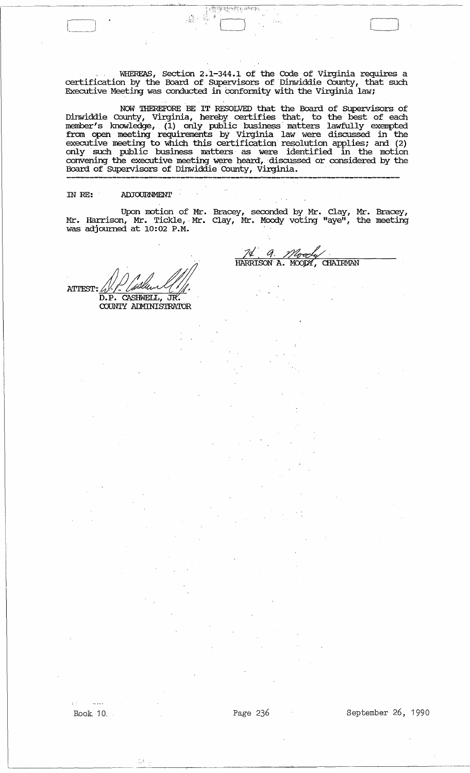, WHEREAS, Section 2. t -344.1 of the Code of Virginia requires a certification by the Board of Supervisors of Dinwiddie County, that such Executive Meeting was conducted in conformity with the Virginia law;

 $\Box$  r  $\Box$  r  $\Box$  r  $\Box$  r  $\Box$  r  $\Box$  r  $\Box$  r  $\Box$ 

-t

NOW THEREFORE 'BE' IT RESOLVED that the Board of SUpervisors of Dinwiddie County, Virginia, hereby certifies that, to the best of each member's knowledge, (1) only public business matters lawfully exempted from open meeting requirements by Virginia law were discussed in the executive meeting to which this certification resolution applies; and (2) only such public business matters· as were identified in the motion convening the executive meeting were heard, discussed or considered by the Board of SUpervisors of Dinwiddie County, Virginia. ----------------------------------------,-----,---------------------------

## IN RE: ADJOURNMENT

÷.

I • ------------------------

Upon motion of Mr. Bracey, seconded by Mr. Clay, Mr. Bracey, Mr. Harrison, Mr. Tickle, Mr. Clay, Mr. Moody voting "aye", the meeting was adjourned at 10:02 P.M .

> 7ď HARRISON A.

a

MOODY,

**CHAIRMAN** 

. . ATTEST: J.J.J. Usland<br>D.P. CASHWELL, J.K. COUNTY ADMINISTRATOR

 $\mathbf{a}$ 

Book 10. Page 236 September 26, 1990